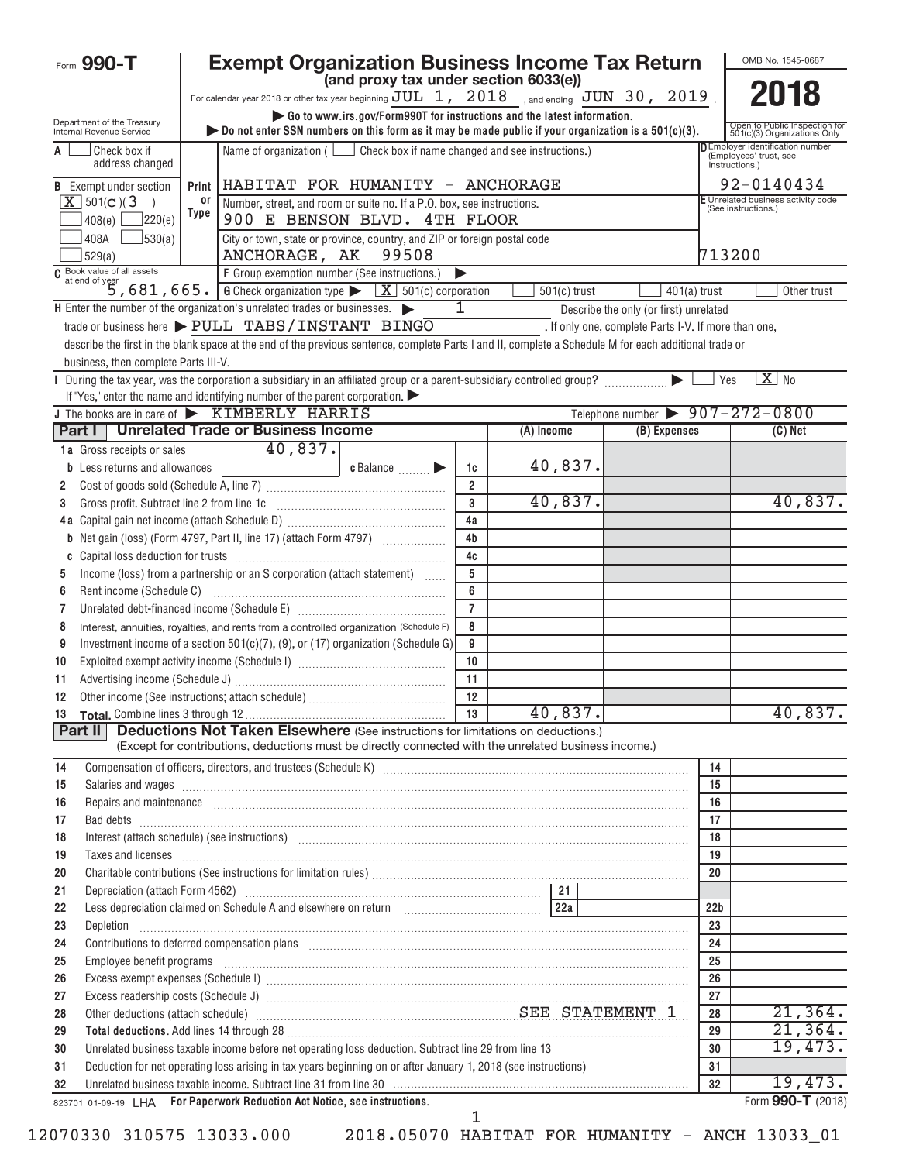|          | Form 990-T                                                                                                                                                                                                                    |                | <b>Exempt Organization Business Income Tax Return</b>                                                                                                                                                                                                                                                                                                                |                 |                                                                                    |                                                           |                 | OMB No. 1545-0687                                             |  |  |  |  |
|----------|-------------------------------------------------------------------------------------------------------------------------------------------------------------------------------------------------------------------------------|----------------|----------------------------------------------------------------------------------------------------------------------------------------------------------------------------------------------------------------------------------------------------------------------------------------------------------------------------------------------------------------------|-----------------|------------------------------------------------------------------------------------|-----------------------------------------------------------|-----------------|---------------------------------------------------------------|--|--|--|--|
|          |                                                                                                                                                                                                                               |                | (and proxy tax under section 6033(e))                                                                                                                                                                                                                                                                                                                                |                 |                                                                                    |                                                           |                 | 2018                                                          |  |  |  |  |
|          |                                                                                                                                                                                                                               |                | For calendar year 2018 or other tax year beginning $JUL$ 1, $2018$ , and ending $JUN$ 30, $2019$<br>Go to www.irs.gov/Form990T for instructions and the latest information.                                                                                                                                                                                          |                 |                                                                                    |                                                           |                 |                                                               |  |  |  |  |
|          | Department of the Treasury<br>Internal Revenue Service                                                                                                                                                                        |                | bo not enter SSN numbers on this form as it may be made public if your organization is a $501(c)(3)$ .                                                                                                                                                                                                                                                               |                 |                                                                                    |                                                           |                 | Open to Public Inspection for<br>501(c)(3) Organizations Only |  |  |  |  |
| A        | Check box if<br>address changed                                                                                                                                                                                               |                | Name of organization ( $\Box$ Check box if name changed and see instructions.)                                                                                                                                                                                                                                                                                       |                 | <b>DEmployer identification number</b><br>(Employees' trust, see<br>instructions.) |                                                           |                 |                                                               |  |  |  |  |
|          | <b>B</b> Exempt under section                                                                                                                                                                                                 | Print          | HABITAT FOR HUMANITY - ANCHORAGE                                                                                                                                                                                                                                                                                                                                     | 92-0140434      |                                                                                    |                                                           |                 |                                                               |  |  |  |  |
|          | $X$ 501(c)(3)                                                                                                                                                                                                                 | or<br>Type     | Number, street, and room or suite no. If a P.O. box, see instructions.                                                                                                                                                                                                                                                                                               |                 |                                                                                    | E Unrelated business activity code<br>(See instructions.) |                 |                                                               |  |  |  |  |
|          | 220(e) <br>408(e)                                                                                                                                                                                                             |                | 900 E BENSON BLVD. 4TH FLOOR<br>City or town, state or province, country, and ZIP or foreign postal code                                                                                                                                                                                                                                                             |                 |                                                                                    |                                                           |                 |                                                               |  |  |  |  |
|          | 408A<br> 530(a) <br>529(a)                                                                                                                                                                                                    |                | 713200                                                                                                                                                                                                                                                                                                                                                               |                 |                                                                                    |                                                           |                 |                                                               |  |  |  |  |
|          | $501(c)$ trust                                                                                                                                                                                                                |                |                                                                                                                                                                                                                                                                                                                                                                      |                 |                                                                                    |                                                           |                 |                                                               |  |  |  |  |
|          |                                                                                                                                                                                                                               | $401(a)$ trust |                                                                                                                                                                                                                                                                                                                                                                      | Other trust     |                                                                                    |                                                           |                 |                                                               |  |  |  |  |
|          |                                                                                                                                                                                                                               |                | H Enter the number of the organization's unrelated trades or businesses.                                                                                                                                                                                                                                                                                             | 1               |                                                                                    | Describe the only (or first) unrelated                    |                 |                                                               |  |  |  |  |
|          |                                                                                                                                                                                                                               |                | trade or business here > PULL TABS / INSTANT BINGO                                                                                                                                                                                                                                                                                                                   |                 |                                                                                    | . If only one, complete Parts I-V. If more than one,      |                 |                                                               |  |  |  |  |
|          |                                                                                                                                                                                                                               |                | describe the first in the blank space at the end of the previous sentence, complete Parts I and II, complete a Schedule M for each additional trade or                                                                                                                                                                                                               |                 |                                                                                    |                                                           |                 |                                                               |  |  |  |  |
|          | business, then complete Parts III-V.                                                                                                                                                                                          |                |                                                                                                                                                                                                                                                                                                                                                                      |                 |                                                                                    |                                                           |                 |                                                               |  |  |  |  |
|          |                                                                                                                                                                                                                               |                | If "Yes," enter the name and identifying number of the parent corporation.                                                                                                                                                                                                                                                                                           |                 |                                                                                    |                                                           | Yes             | $X$ No                                                        |  |  |  |  |
|          |                                                                                                                                                                                                                               |                | J The books are in care of KIMBERLY HARRIS                                                                                                                                                                                                                                                                                                                           |                 |                                                                                    | Telephone number $\triangleright$ 907-272-0800            |                 |                                                               |  |  |  |  |
|          |                                                                                                                                                                                                                               |                | Part I   Unrelated Trade or Business Income                                                                                                                                                                                                                                                                                                                          |                 | (A) Income                                                                         | (B) Expenses                                              |                 | $(C)$ Net                                                     |  |  |  |  |
|          | 1a Gross receipts or sales                                                                                                                                                                                                    |                | 40,837.                                                                                                                                                                                                                                                                                                                                                              |                 |                                                                                    |                                                           |                 |                                                               |  |  |  |  |
|          | <b>b</b> Less returns and allowances                                                                                                                                                                                          |                | c Balance <b>Division</b>                                                                                                                                                                                                                                                                                                                                            | 1c              | 40,837.                                                                            |                                                           |                 |                                                               |  |  |  |  |
| 2        |                                                                                                                                                                                                                               |                |                                                                                                                                                                                                                                                                                                                                                                      | $\overline{2}$  |                                                                                    |                                                           |                 |                                                               |  |  |  |  |
| 3        | Gross profit. Subtract line 2 from line 1c                                                                                                                                                                                    |                |                                                                                                                                                                                                                                                                                                                                                                      | $\overline{3}$  | 40,837.                                                                            |                                                           |                 | 40,837.                                                       |  |  |  |  |
| 4 a      |                                                                                                                                                                                                                               |                |                                                                                                                                                                                                                                                                                                                                                                      | 4a              |                                                                                    |                                                           |                 |                                                               |  |  |  |  |
|          |                                                                                                                                                                                                                               |                | <b>b</b> Net gain (loss) (Form 4797, Part II, line 17) (attach Form 4797)                                                                                                                                                                                                                                                                                            | 4 <sub>b</sub>  |                                                                                    |                                                           |                 |                                                               |  |  |  |  |
|          |                                                                                                                                                                                                                               |                |                                                                                                                                                                                                                                                                                                                                                                      | 4c              |                                                                                    |                                                           |                 |                                                               |  |  |  |  |
| 5        |                                                                                                                                                                                                                               |                | Income (loss) from a partnership or an S corporation (attach statement)                                                                                                                                                                                                                                                                                              | 5               |                                                                                    |                                                           |                 |                                                               |  |  |  |  |
| 6        |                                                                                                                                                                                                                               |                |                                                                                                                                                                                                                                                                                                                                                                      | 6               |                                                                                    |                                                           |                 |                                                               |  |  |  |  |
| 7        |                                                                                                                                                                                                                               |                |                                                                                                                                                                                                                                                                                                                                                                      | $\overline{7}$  |                                                                                    |                                                           |                 |                                                               |  |  |  |  |
| 8        |                                                                                                                                                                                                                               |                | Interest, annuities, royalties, and rents from a controlled organization (Schedule F)                                                                                                                                                                                                                                                                                | 8               |                                                                                    |                                                           |                 |                                                               |  |  |  |  |
| 9        |                                                                                                                                                                                                                               |                | Investment income of a section $501(c)(7)$ , (9), or (17) organization (Schedule G)                                                                                                                                                                                                                                                                                  | 9               |                                                                                    |                                                           |                 |                                                               |  |  |  |  |
| 10       |                                                                                                                                                                                                                               |                |                                                                                                                                                                                                                                                                                                                                                                      | 10              |                                                                                    |                                                           |                 |                                                               |  |  |  |  |
| 11       |                                                                                                                                                                                                                               |                |                                                                                                                                                                                                                                                                                                                                                                      | 11<br>12        |                                                                                    |                                                           |                 |                                                               |  |  |  |  |
| 12       |                                                                                                                                                                                                                               |                |                                                                                                                                                                                                                                                                                                                                                                      | $\overline{13}$ | 40,837.                                                                            |                                                           |                 | 40,837.                                                       |  |  |  |  |
| Part II  |                                                                                                                                                                                                                               |                | <b>Deductions Not Taken Elsewhere</b> (See instructions for limitations on deductions.)                                                                                                                                                                                                                                                                              |                 |                                                                                    |                                                           |                 |                                                               |  |  |  |  |
|          |                                                                                                                                                                                                                               |                | (Except for contributions, deductions must be directly connected with the unrelated business income.)                                                                                                                                                                                                                                                                |                 |                                                                                    |                                                           |                 |                                                               |  |  |  |  |
| 14       |                                                                                                                                                                                                                               |                |                                                                                                                                                                                                                                                                                                                                                                      |                 |                                                                                    |                                                           | 14              |                                                               |  |  |  |  |
| 15       |                                                                                                                                                                                                                               |                | Salaries and wages <b>construction and construction</b> was and wages <b>construction</b> and wages <b>construction</b> and wages <b>construction</b> and <b>construction</b> and <b>construction</b> and <b>construction</b> and <b>construction</b> and <b>constructio</b>                                                                                         |                 |                                                                                    |                                                           | 15              |                                                               |  |  |  |  |
| 16       |                                                                                                                                                                                                                               |                | Repairs and maintenance <i>maintenance</i> and contained and contained and contained and maintenance and maintenance and                                                                                                                                                                                                                                             |                 |                                                                                    |                                                           | 16              |                                                               |  |  |  |  |
| 17       |                                                                                                                                                                                                                               |                | Bad debts <b>www.communication.communication.communication.com</b>                                                                                                                                                                                                                                                                                                   |                 |                                                                                    |                                                           | 17              |                                                               |  |  |  |  |
| 18       | Interest (attach schedule) (see instructions) www.communications.communications.communications.communications.                                                                                                                | 18             |                                                                                                                                                                                                                                                                                                                                                                      |                 |                                                                                    |                                                           |                 |                                                               |  |  |  |  |
| 19       |                                                                                                                                                                                                                               |                | Taxes and licenses <b>commissions contract the contract of the contract of the contract of the contract of the contract of the contract of the contract of the contract of the contract of the contract of the contract of the</b>                                                                                                                                   |                 |                                                                                    |                                                           | 19              |                                                               |  |  |  |  |
| 20       |                                                                                                                                                                                                                               |                |                                                                                                                                                                                                                                                                                                                                                                      |                 |                                                                                    |                                                           | 20              |                                                               |  |  |  |  |
| 21       |                                                                                                                                                                                                                               |                |                                                                                                                                                                                                                                                                                                                                                                      |                 |                                                                                    |                                                           |                 |                                                               |  |  |  |  |
| 22       |                                                                                                                                                                                                                               |                |                                                                                                                                                                                                                                                                                                                                                                      |                 |                                                                                    |                                                           | 22 <sub>b</sub> |                                                               |  |  |  |  |
| 23       |                                                                                                                                                                                                                               |                | Depletion <b>construction in the construction of the construction of the construction of the construction of the construction of the construction of the construction of the construction of the construction of the constructio</b><br>Contributions to deferred compensation plans [11] manufactured and manufactured contributions to deferred compensation plans |                 |                                                                                    |                                                           | 23              |                                                               |  |  |  |  |
| 24       |                                                                                                                                                                                                                               |                | 24                                                                                                                                                                                                                                                                                                                                                                   |                 |                                                                                    |                                                           |                 |                                                               |  |  |  |  |
| 25<br>26 | Employee benefit programs in the committee of the contract of the contract of the contract of the contract of the contract of the contract of the contract of the contract of the contract of the contract of the contract of | 25<br>26       |                                                                                                                                                                                                                                                                                                                                                                      |                 |                                                                                    |                                                           |                 |                                                               |  |  |  |  |
| 27       |                                                                                                                                                                                                                               | 27             |                                                                                                                                                                                                                                                                                                                                                                      |                 |                                                                                    |                                                           |                 |                                                               |  |  |  |  |
| 28       |                                                                                                                                                                                                                               |                | Other deductions (attach schedule) Material Material Material SEE STATEMENT 1                                                                                                                                                                                                                                                                                        |                 |                                                                                    |                                                           | 28              | 21,364.                                                       |  |  |  |  |
| 29       |                                                                                                                                                                                                                               |                | Total deductions. Add lines 14 through 28 [11] manufactures in the contract of the contract of the contract of the contract of the contract of the contract of the contract of the contract of the contract of the contract of                                                                                                                                       |                 |                                                                                    |                                                           | 29              | 21,364.                                                       |  |  |  |  |
| 30       |                                                                                                                                                                                                                               |                | Unrelated business taxable income before net operating loss deduction. Subtract line 29 from line 13                                                                                                                                                                                                                                                                 |                 |                                                                                    |                                                           | 30              | 19,473.                                                       |  |  |  |  |
| 31       |                                                                                                                                                                                                                               |                | Deduction for net operating loss arising in tax years beginning on or after January 1, 2018 (see instructions)                                                                                                                                                                                                                                                       |                 |                                                                                    |                                                           | 31              |                                                               |  |  |  |  |
| 32       |                                                                                                                                                                                                                               |                | Unrelated business taxable income. Subtract line 31 from line 30 manufacture containsation containsation conta                                                                                                                                                                                                                                                       |                 |                                                                                    |                                                           | 32              | 19,473.                                                       |  |  |  |  |
|          |                                                                                                                                                                                                                               |                | 823701 01-09-19 LHA For Paperwork Reduction Act Notice, see instructions.                                                                                                                                                                                                                                                                                            |                 |                                                                                    |                                                           |                 | Form 990-T (2018)                                             |  |  |  |  |
|          |                                                                                                                                                                                                                               |                |                                                                                                                                                                                                                                                                                                                                                                      | 1               |                                                                                    |                                                           |                 |                                                               |  |  |  |  |

12070330 310575 13033.000 2018.05070 HABITAT FOR HUMANITY - ANCH 13033\_01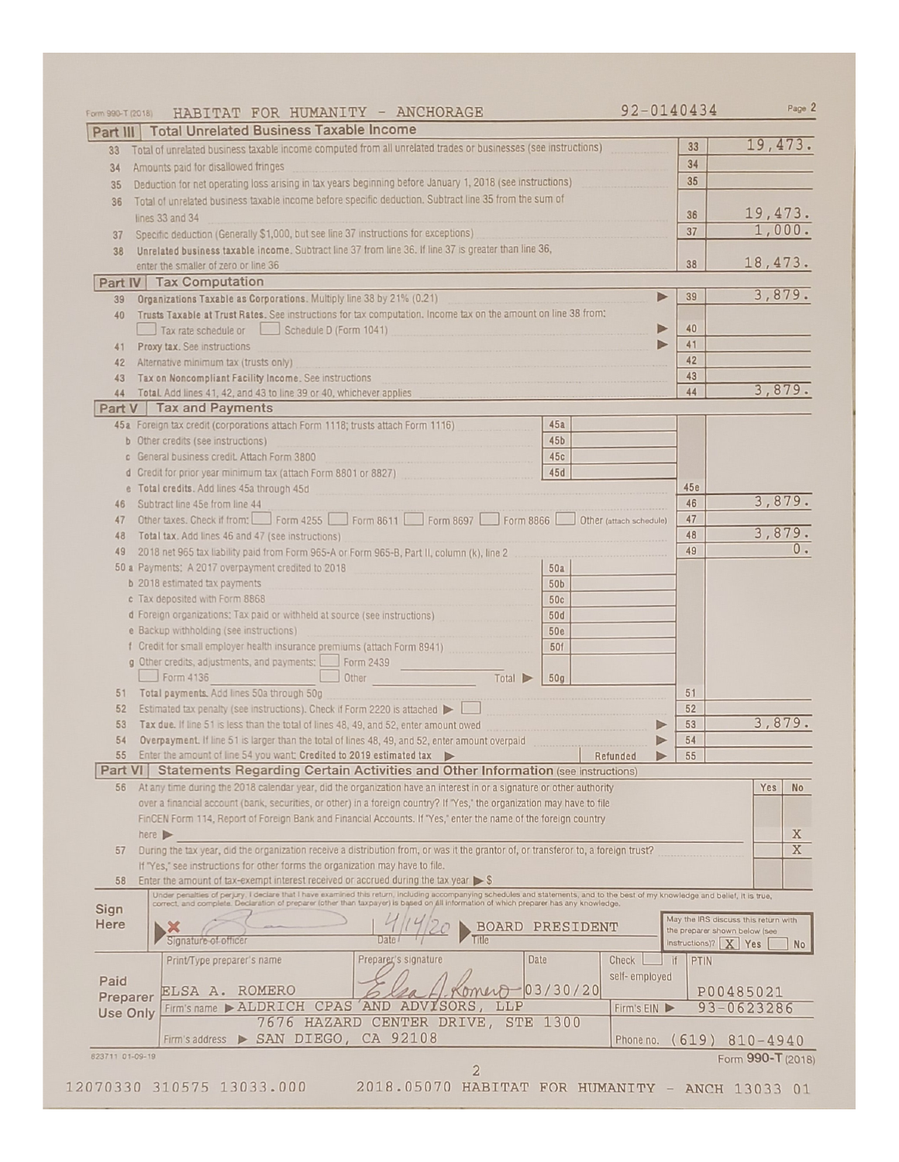| Form 990-T (2018) | HABITAT FOR HUMANITY - ANCHORAGE                                                                                                                                                                                               | 92-0140434                    | Page 2                               |
|-------------------|--------------------------------------------------------------------------------------------------------------------------------------------------------------------------------------------------------------------------------|-------------------------------|--------------------------------------|
|                   | Part III   Total Unrelated Business Taxable Income                                                                                                                                                                             |                               |                                      |
| 33                | Total of unrelated business taxable income computed from all unrelated trades or businesses (see instructions)                                                                                                                 | 33                            | 19,473.                              |
| 34                | Amounts paid for disallowed fringes                                                                                                                                                                                            | 34                            |                                      |
| 35                | Deduction for net operating loss arising in tax years beginning before January 1, 2018 (see instructions)                                                                                                                      | 35                            |                                      |
| 36                | Total of unrelated business taxable income before specific deduction. Subtract line 35 from the sum of                                                                                                                         |                               |                                      |
|                   | lines 33 and 34                                                                                                                                                                                                                | 36                            | 19, 473.                             |
| 37                | Specific deduction (Generally \$1,000, but see line 37 instructions for exceptions)                                                                                                                                            | 37                            | 1,000.                               |
| 38                | Unrelated business taxable income. Subtract line 37 from line 36. If line 37 is greater than line 36,                                                                                                                          |                               |                                      |
|                   | enter the smaller of zero or line 36                                                                                                                                                                                           | 38                            | 18, 473.                             |
|                   | Part IV Tax Computation                                                                                                                                                                                                        |                               | 3,879.                               |
| 39                | Organizations Taxable as Corporations. Multiply line 38 by 21% (0.21)                                                                                                                                                          | Þ<br>39                       |                                      |
| 40                | Trusts Taxable at Trust Rates. See instructions for tax computation. Income tax on the amount on line 38 from:                                                                                                                 |                               |                                      |
|                   | Tax rate schedule or Schedule D (Form 1041)                                                                                                                                                                                    | 40<br>Þ<br>41<br>▶            |                                      |
| 41                | Proxy tax. See instructions                                                                                                                                                                                                    | 42                            |                                      |
| 42                | Alternative minimum tax (trusts only)<br>Tax on Noncompliant Facility Income. See instructions                                                                                                                                 | 43                            |                                      |
| 43<br>44          | Total. Add lines 41, 42, and 43 to line 39 or 40, whichever applies                                                                                                                                                            | 44                            | 3,879.                               |
| Part V            | Tax and Payments                                                                                                                                                                                                               |                               |                                      |
|                   | 45a Foreign tax credit (corporations attach Form 1118; trusts attach Form 1116)<br>45a                                                                                                                                         |                               |                                      |
|                   | <b>b</b> Other credits (see instructions)<br>45 <sub>b</sub>                                                                                                                                                                   |                               |                                      |
|                   | c General business credit. Attach Form 3800<br>45c                                                                                                                                                                             |                               |                                      |
|                   | d Credit for prior year minimum tax (attach Form 8801 or 8827)<br>45d                                                                                                                                                          |                               |                                      |
|                   | e Total credits. Add lines 45a through 45d                                                                                                                                                                                     | 45e                           |                                      |
| 46                | Subtract line 45e from line 44                                                                                                                                                                                                 | 46                            | 3,879.                               |
| 47                | Other taxes. Check if from: Form 4255 Form 8611 Form 8697 Form 8866<br>Other (attach schedule)                                                                                                                                 | 47                            |                                      |
| 48                | Total tax. Add lines 46 and 47 (see instructions)                                                                                                                                                                              | 48                            | 3,879.                               |
| 49                | 2018 net 965 tax liability paid from Form 965-A or Form 965-B, Part II, column (k), line 2                                                                                                                                     | 49                            | $0 -$                                |
|                   | 50 a Payments: A 2017 overpayment credited to 2018<br>50a                                                                                                                                                                      |                               |                                      |
|                   | <b>b</b> 2018 estimated tax payments<br>50b                                                                                                                                                                                    |                               |                                      |
|                   | c Tax deposited with Form 8868<br>50c                                                                                                                                                                                          |                               |                                      |
|                   | d Foreign organizations: Tax paid or withheld at source (see instructions)<br>50d                                                                                                                                              |                               |                                      |
|                   | e Backup withholding (see instructions)<br><b>50e</b>                                                                                                                                                                          |                               |                                      |
|                   | f Credit for small employer health insurance premiums (attach Form 8941)<br>50f                                                                                                                                                |                               |                                      |
|                   | g Other credits, adjustments, and payments:<br>Form 2439<br>Form 4136<br>Other<br>Total<br>50 <sub>g</sub>                                                                                                                     |                               |                                      |
| 51                | Total payments. Add lines 50a through 50g                                                                                                                                                                                      | 51                            |                                      |
| 52                | Estimated tax penalty (see instructions). Check if Form 2220 is attached $\blacktriangleright\ \lfloor$                                                                                                                        | 52                            |                                      |
| 53                | Tax due. If line 51 is less than the total of lines 48, 49, and 52, enter amount owed                                                                                                                                          | 53<br>$\triangleright$        | 3,879.                               |
| 54                | Overpayment. If line 51 is larger than the total of lines 48, 49, and 52, enter amount overpaid                                                                                                                                | 54<br>Þ                       |                                      |
| 55                | Enter the amount of line 54 you want; Credited to 2019 estimated tax<br>Refunded                                                                                                                                               | 55                            |                                      |
| Part VI           | Statements Regarding Certain Activities and Other Information (see instructions)                                                                                                                                               |                               |                                      |
| 56                | At any time during the 2018 calendar year, did the organization have an interest in or a signature or other authority                                                                                                          |                               | Yes<br><b>No</b>                     |
|                   | over a financial account (bank, securities, or other) in a foreign country? If "Yes," the organization may have to file                                                                                                        |                               |                                      |
|                   | FinCEN Form 114, Report of Foreign Bank and Financial Accounts. If "Yes," enter the name of the foreign country                                                                                                                |                               |                                      |
|                   | here $\blacktriangleright$                                                                                                                                                                                                     |                               | X                                    |
| 57                | During the tax year, did the organization receive a distribution from, or was it the grantor of, or transferor to, a foreign trust?                                                                                            |                               | X                                    |
| 58                | If "Yes," see instructions for other forms the organization may have to file.<br>Enter the amount of tax-exempt interest received or accrued during the tax year $\triangleright$ \$                                           |                               |                                      |
|                   |                                                                                                                                                                                                                                |                               |                                      |
| Sign              | Under penalties of perjury, I declare that I have examined this return, including accompanying schedules and statements, and to the best of my knowledge and bellef, it is true, correct, and complete. Declaration of prepare |                               |                                      |
| Here              | <b>BOARD</b><br>PRESIDENT                                                                                                                                                                                                      | the preparer shown below (see | May the IRS discuss this return with |
|                   | Signature of officer                                                                                                                                                                                                           | instructions)? $X$   Yes      | <b>No</b>                            |
|                   | Date<br>Print/Type preparer's name<br>Preparer's signature<br>Check                                                                                                                                                            | <b>PTIN</b><br>-if            |                                      |
| Paid              | self-employed                                                                                                                                                                                                                  |                               |                                      |
| Preparer          | 03/30/20 <br>ELSA A. ROMERO                                                                                                                                                                                                    |                               | P00485021                            |
| <b>Use Only</b>   | CPAS AND ADVISORS,<br>Firm's name ALDRICH<br>LLP<br>Firm's EIN                                                                                                                                                                 |                               | 93-0623286                           |
|                   | 7676 HAZARD CENTER DRIVE, STE 1300                                                                                                                                                                                             |                               |                                      |
|                   | Firm's address > SAN DIEGO, CA 92108                                                                                                                                                                                           |                               | Phone no. $(619)$ $810 - 4940$       |
| 823711 01-09-19   |                                                                                                                                                                                                                                |                               | Form 990-T (2018)                    |
|                   | 2                                                                                                                                                                                                                              |                               |                                      |
|                   | 2070330 310575 13033.000<br>2018.05070 HABITAT FOR HUMANITY - ANCH 13033 01                                                                                                                                                    |                               |                                      |

 $\mathbf{1}$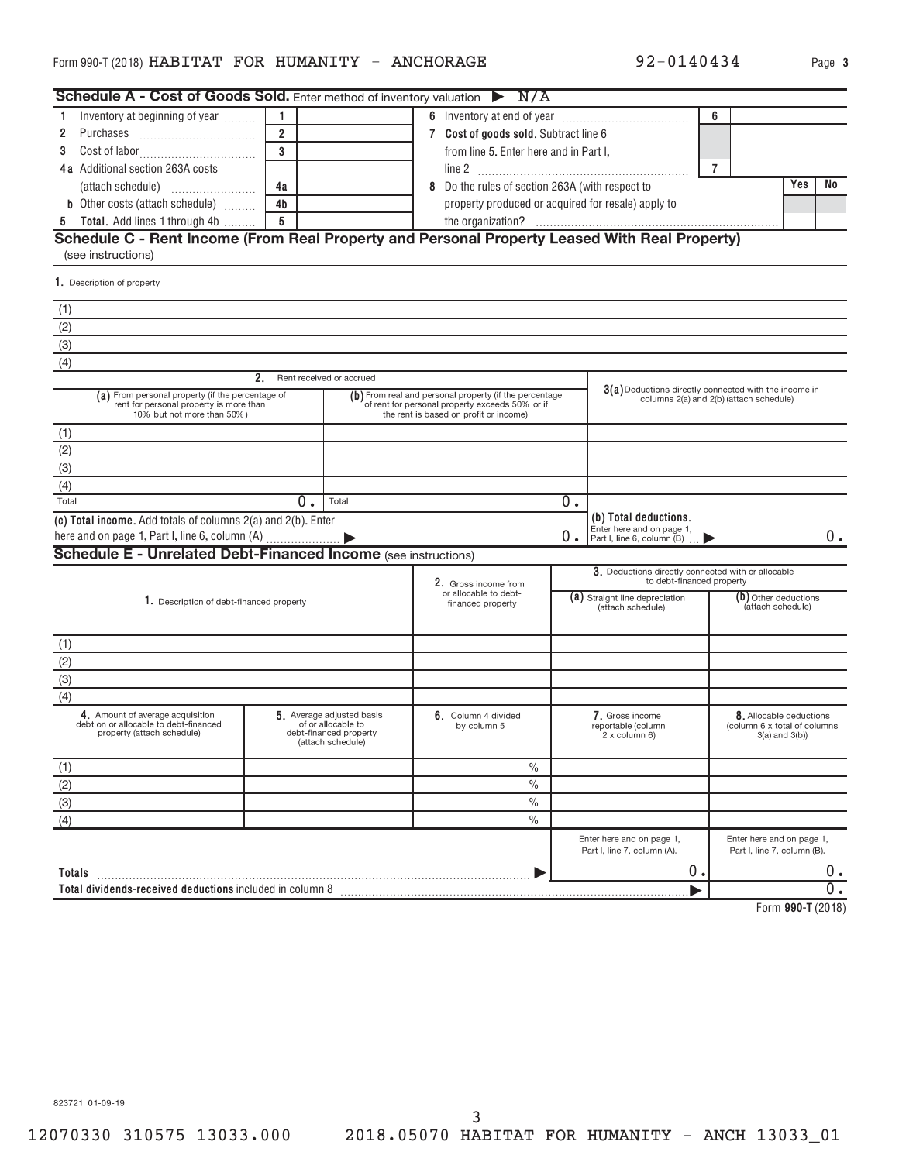| Schedule A - Cost of Goods Sold. Enter method of inventory valuation $\triangleright N/A$                                 |                |                                                                                                |                                                                                                                                                     |    |                                                                                  |                |                                                                              |     |    |
|---------------------------------------------------------------------------------------------------------------------------|----------------|------------------------------------------------------------------------------------------------|-----------------------------------------------------------------------------------------------------------------------------------------------------|----|----------------------------------------------------------------------------------|----------------|------------------------------------------------------------------------------|-----|----|
| Inventory at beginning of year<br>1.                                                                                      | $\overline{1}$ |                                                                                                |                                                                                                                                                     |    |                                                                                  | 6              |                                                                              |     |    |
| 2<br>Purchases                                                                                                            | $\overline{2}$ |                                                                                                | 7 Cost of goods sold. Subtract line 6                                                                                                               |    |                                                                                  |                |                                                                              |     |    |
| 3                                                                                                                         | $\overline{3}$ |                                                                                                | from line 5. Enter here and in Part I,                                                                                                              |    |                                                                                  |                |                                                                              |     |    |
| 4a Additional section 263A costs                                                                                          |                |                                                                                                |                                                                                                                                                     |    |                                                                                  | $\overline{7}$ |                                                                              |     |    |
|                                                                                                                           | 4a             |                                                                                                | 8 Do the rules of section 263A (with respect to                                                                                                     |    |                                                                                  |                |                                                                              | Yes | No |
| <b>b</b> Other costs (attach schedule)                                                                                    | 4 <sub>b</sub> |                                                                                                | property produced or acquired for resale) apply to                                                                                                  |    |                                                                                  |                |                                                                              |     |    |
| <b>Total.</b> Add lines 1 through 4b<br>5                                                                                 | 5              |                                                                                                |                                                                                                                                                     |    |                                                                                  |                |                                                                              |     |    |
| Schedule C - Rent Income (From Real Property and Personal Property Leased With Real Property)<br>(see instructions)       |                |                                                                                                |                                                                                                                                                     |    |                                                                                  |                |                                                                              |     |    |
| 1. Description of property                                                                                                |                |                                                                                                |                                                                                                                                                     |    |                                                                                  |                |                                                                              |     |    |
| (1)                                                                                                                       |                |                                                                                                |                                                                                                                                                     |    |                                                                                  |                |                                                                              |     |    |
|                                                                                                                           |                |                                                                                                |                                                                                                                                                     |    |                                                                                  |                |                                                                              |     |    |
| $\frac{(2)}{(3)}$                                                                                                         |                |                                                                                                |                                                                                                                                                     |    |                                                                                  |                |                                                                              |     |    |
| (4)                                                                                                                       |                |                                                                                                |                                                                                                                                                     |    |                                                                                  |                |                                                                              |     |    |
|                                                                                                                           | 2.             | Rent received or accrued                                                                       |                                                                                                                                                     |    |                                                                                  |                |                                                                              |     |    |
| (a) From personal property (if the percentage of<br>rent for personal property is more than<br>10% but not more than 50%) |                |                                                                                                | (b) From real and personal property (if the percentage<br>of rent for personal property exceeds 50% or if<br>the rent is based on profit or income) |    | $3(a)$ Deductions directly connected with the income in                          |                | columns 2(a) and 2(b) (attach schedule)                                      |     |    |
| (1)                                                                                                                       |                |                                                                                                |                                                                                                                                                     |    |                                                                                  |                |                                                                              |     |    |
| (2)                                                                                                                       |                |                                                                                                |                                                                                                                                                     |    |                                                                                  |                |                                                                              |     |    |
| (3)                                                                                                                       |                |                                                                                                |                                                                                                                                                     |    |                                                                                  |                |                                                                              |     |    |
| (4)                                                                                                                       |                |                                                                                                |                                                                                                                                                     |    |                                                                                  |                |                                                                              |     |    |
| Total                                                                                                                     | $0$ .          | Total                                                                                          |                                                                                                                                                     | 0. |                                                                                  |                |                                                                              |     |    |
| (c) Total income. Add totals of columns 2(a) and 2(b). Enter                                                              |                |                                                                                                |                                                                                                                                                     | 0. | (b) Total deductions.<br>Enter here and on page 1,<br>Part I, line 6, column (B) |                |                                                                              |     | 0. |
| <b>Schedule E - Unrelated Debt-Financed Income (see instructions)</b>                                                     |                |                                                                                                |                                                                                                                                                     |    |                                                                                  |                |                                                                              |     |    |
|                                                                                                                           |                |                                                                                                | 2. Gross income from                                                                                                                                |    | 3. Deductions directly connected with or allocable<br>to debt-financed property  |                |                                                                              |     |    |
| 1. Description of debt-financed property                                                                                  |                |                                                                                                | or allocable to debt-<br>financed property                                                                                                          |    | (a) Straight line depreciation<br>(attach schedule)                              |                | (b) Other deductions<br>(attach schedule)                                    |     |    |
| (1)                                                                                                                       |                |                                                                                                |                                                                                                                                                     |    |                                                                                  |                |                                                                              |     |    |
| $\frac{(2)}{(3)}$                                                                                                         |                |                                                                                                |                                                                                                                                                     |    |                                                                                  |                |                                                                              |     |    |
|                                                                                                                           |                |                                                                                                |                                                                                                                                                     |    |                                                                                  |                |                                                                              |     |    |
| (4)                                                                                                                       |                |                                                                                                |                                                                                                                                                     |    |                                                                                  |                |                                                                              |     |    |
| 4. Amount of average acquisition<br>debt on or allocable to debt-financed<br>property (attach schedule)                   |                | 5. Average adjusted basis<br>of or allocable to<br>debt-financed property<br>(attach schedule) | 6. Column 4 divided<br>by column 5                                                                                                                  |    | 7. Gross income<br>reportable (column<br>2 x column 6)                           |                | 8. Allocable deductions<br>(column 6 x total of columns<br>$3(a)$ and $3(b)$ |     |    |
| (1)                                                                                                                       |                |                                                                                                | $\%$                                                                                                                                                |    |                                                                                  |                |                                                                              |     |    |
| (2)                                                                                                                       |                |                                                                                                | $\frac{0}{0}$                                                                                                                                       |    |                                                                                  |                |                                                                              |     |    |
| $\overline{3)}$                                                                                                           |                |                                                                                                | $\frac{0}{0}$                                                                                                                                       |    |                                                                                  |                |                                                                              |     |    |
| $\overline{(4)}$                                                                                                          |                |                                                                                                | $\frac{0}{0}$                                                                                                                                       |    |                                                                                  |                |                                                                              |     |    |
|                                                                                                                           |                |                                                                                                |                                                                                                                                                     |    | Enter here and on page 1,<br>Part I, line 7, column (A).                         |                | Enter here and on page 1,<br>Part I, line 7, column (B).                     |     |    |
| Totals                                                                                                                    |                |                                                                                                |                                                                                                                                                     |    | 0.                                                                               |                |                                                                              |     | 0. |
| Total dividends-received deductions included in column 8                                                                  |                |                                                                                                |                                                                                                                                                     |    |                                                                                  |                |                                                                              |     | Ο. |
|                                                                                                                           |                |                                                                                                |                                                                                                                                                     |    |                                                                                  |                |                                                                              |     |    |

**990-T**  Form (2018)

92-0140434 Page 3

823721 01-09-19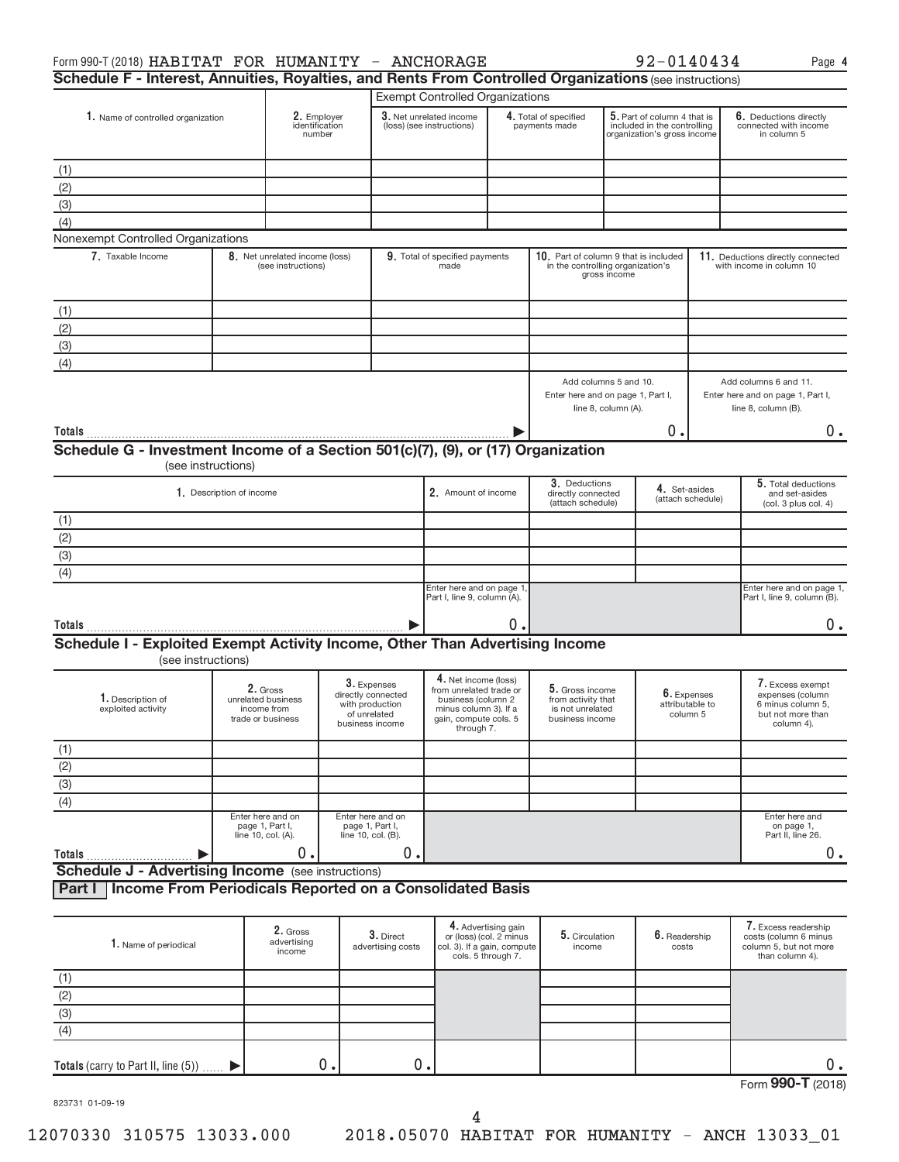| Schedule F - Interest, Annuities, Royalties, and Rents From Controlled Organizations (see instructions) |                                                        |                                         |                    |                                                                                         |                                                                                                                                       |                                               |                                                                              |                     |                                                                                           |                                                                                   |                                                                                              |  |
|---------------------------------------------------------------------------------------------------------|--------------------------------------------------------|-----------------------------------------|--------------------|-----------------------------------------------------------------------------------------|---------------------------------------------------------------------------------------------------------------------------------------|-----------------------------------------------|------------------------------------------------------------------------------|---------------------|-------------------------------------------------------------------------------------------|-----------------------------------------------------------------------------------|----------------------------------------------------------------------------------------------|--|
|                                                                                                         |                                                        |                                         |                    |                                                                                         | <b>Exempt Controlled Organizations</b>                                                                                                |                                               |                                                                              |                     |                                                                                           |                                                                                   |                                                                                              |  |
| 1. Name of controlled organization                                                                      |                                                        | 2. Employer<br>identification<br>number |                    |                                                                                         | 3. Net unrelated income<br>(loss) (see instructions)                                                                                  |                                               | 4. Total of specified<br>payments made                                       |                     | 5. Part of column 4 that is<br>included in the controlling<br>organization's gross income |                                                                                   | 6. Deductions directly<br>connected with income<br>in column 5                               |  |
|                                                                                                         |                                                        |                                         |                    |                                                                                         |                                                                                                                                       |                                               |                                                                              |                     |                                                                                           |                                                                                   |                                                                                              |  |
| (1)                                                                                                     |                                                        |                                         |                    |                                                                                         |                                                                                                                                       |                                               |                                                                              |                     |                                                                                           |                                                                                   |                                                                                              |  |
| (2)                                                                                                     |                                                        |                                         |                    |                                                                                         |                                                                                                                                       |                                               |                                                                              |                     |                                                                                           |                                                                                   |                                                                                              |  |
| (3)                                                                                                     |                                                        |                                         |                    |                                                                                         |                                                                                                                                       |                                               |                                                                              |                     |                                                                                           |                                                                                   |                                                                                              |  |
| (4)<br>Nonexempt Controlled Organizations                                                               |                                                        |                                         |                    |                                                                                         |                                                                                                                                       |                                               |                                                                              |                     |                                                                                           |                                                                                   |                                                                                              |  |
| 7. Taxable Income                                                                                       |                                                        | 8. Net unrelated income (loss)          |                    |                                                                                         | 9. Total of specified payments                                                                                                        |                                               | 10. Part of column 9 that is included                                        |                     |                                                                                           |                                                                                   | 11. Deductions directly connected                                                            |  |
|                                                                                                         |                                                        | (see instructions)                      |                    |                                                                                         | made                                                                                                                                  |                                               | in the controlling organization's                                            | gross income        |                                                                                           |                                                                                   | with income in column 10                                                                     |  |
| (1)                                                                                                     |                                                        |                                         |                    |                                                                                         |                                                                                                                                       |                                               |                                                                              |                     |                                                                                           |                                                                                   |                                                                                              |  |
| (2)                                                                                                     |                                                        |                                         |                    |                                                                                         |                                                                                                                                       |                                               |                                                                              |                     |                                                                                           |                                                                                   |                                                                                              |  |
| (3)                                                                                                     |                                                        |                                         |                    |                                                                                         |                                                                                                                                       |                                               |                                                                              |                     |                                                                                           |                                                                                   |                                                                                              |  |
| (4)                                                                                                     |                                                        |                                         |                    |                                                                                         |                                                                                                                                       |                                               |                                                                              |                     |                                                                                           |                                                                                   |                                                                                              |  |
|                                                                                                         |                                                        |                                         |                    |                                                                                         |                                                                                                                                       |                                               | Add columns 5 and 10.<br>Enter here and on page 1, Part I,                   | line 8, column (A). |                                                                                           | Add columns 6 and 11.<br>Enter here and on page 1, Part I,<br>line 8, column (B). |                                                                                              |  |
|                                                                                                         |                                                        |                                         |                    |                                                                                         |                                                                                                                                       |                                               |                                                                              |                     | о.                                                                                        |                                                                                   |                                                                                              |  |
| Schedule G - Investment Income of a Section 501(c)(7), (9), or (17) Organization                        |                                                        |                                         |                    |                                                                                         |                                                                                                                                       |                                               |                                                                              |                     |                                                                                           |                                                                                   | 0.                                                                                           |  |
|                                                                                                         | (see instructions)                                     |                                         |                    |                                                                                         |                                                                                                                                       |                                               |                                                                              |                     |                                                                                           |                                                                                   |                                                                                              |  |
|                                                                                                         | 1. Description of income                               |                                         |                    |                                                                                         | 2. Amount of income                                                                                                                   |                                               | 3. Deductions<br>directly connected<br>(attach schedule)                     |                     | 4. Set-asides                                                                             | (attach schedule)                                                                 | 5. Total deductions<br>and set-asides<br>(col. 3 plus col. 4)                                |  |
| (1)                                                                                                     |                                                        |                                         |                    |                                                                                         |                                                                                                                                       |                                               |                                                                              |                     |                                                                                           |                                                                                   |                                                                                              |  |
| $\overline{(2)}$                                                                                        |                                                        |                                         |                    |                                                                                         |                                                                                                                                       |                                               |                                                                              |                     |                                                                                           |                                                                                   |                                                                                              |  |
| $\overline{3}$                                                                                          |                                                        |                                         |                    |                                                                                         |                                                                                                                                       |                                               |                                                                              |                     |                                                                                           |                                                                                   |                                                                                              |  |
| (4)                                                                                                     |                                                        |                                         |                    |                                                                                         |                                                                                                                                       |                                               |                                                                              |                     |                                                                                           |                                                                                   |                                                                                              |  |
|                                                                                                         |                                                        |                                         |                    |                                                                                         | Enter here and on page 1<br>Part I, line 9, column (A).                                                                               |                                               |                                                                              |                     |                                                                                           |                                                                                   | Enter here and on page 1,<br>Part I, line 9, column (B).                                     |  |
|                                                                                                         |                                                        |                                         |                    |                                                                                         |                                                                                                                                       |                                               |                                                                              |                     |                                                                                           |                                                                                   |                                                                                              |  |
|                                                                                                         |                                                        |                                         |                    |                                                                                         |                                                                                                                                       | 0.                                            |                                                                              |                     |                                                                                           |                                                                                   | 0.                                                                                           |  |
| Schedule I - Exploited Exempt Activity Income, Other Than Advertising Income<br>(see instructions)      |                                                        |                                         |                    |                                                                                         |                                                                                                                                       |                                               |                                                                              |                     |                                                                                           |                                                                                   |                                                                                              |  |
| 1. Description of<br>exploited activity                                                                 | unrelated business<br>income from<br>trade or business | 2. Gross                                |                    | 3. Expenses<br>directly connected<br>with production<br>of unrelated<br>business income | 4. Net income (loss)<br>from unrelated trade or<br>business (column 2<br>minus column 3). If a<br>gain, compute cols. 5<br>through 7. |                                               | 5. Gross income<br>from activity that<br>is not unrelated<br>business income |                     | attributable to                                                                           | 6. Expenses<br>column 5                                                           | 7. Excess exempt<br>expenses (column<br>6 minus column 5,<br>but not more than<br>column 4). |  |
|                                                                                                         |                                                        |                                         |                    |                                                                                         |                                                                                                                                       |                                               |                                                                              |                     |                                                                                           |                                                                                   |                                                                                              |  |
|                                                                                                         |                                                        |                                         |                    |                                                                                         |                                                                                                                                       |                                               |                                                                              |                     |                                                                                           |                                                                                   |                                                                                              |  |
|                                                                                                         |                                                        |                                         |                    |                                                                                         |                                                                                                                                       |                                               |                                                                              |                     |                                                                                           |                                                                                   |                                                                                              |  |
| $rac{(1)}{(2)}$<br>(3)<br>(4)                                                                           |                                                        |                                         |                    |                                                                                         |                                                                                                                                       |                                               |                                                                              |                     |                                                                                           |                                                                                   |                                                                                              |  |
|                                                                                                         |                                                        | Enter here and on                       |                    | Enter here and on                                                                       |                                                                                                                                       |                                               |                                                                              |                     |                                                                                           |                                                                                   | Enter here and                                                                               |  |
|                                                                                                         | page 1, Part I,<br>line 10, col. (A).                  |                                         | line 10, col. (B). | page 1, Part I,                                                                         |                                                                                                                                       |                                               |                                                                              |                     |                                                                                           |                                                                                   | on page 1,<br>Part II, line 26.                                                              |  |
| Totals<br><b>Schedule J - Advertising Income</b> (see instructions)                                     |                                                        | 0.                                      |                    | 0.                                                                                      |                                                                                                                                       |                                               |                                                                              |                     |                                                                                           |                                                                                   | 0.                                                                                           |  |
| Income From Periodicals Reported on a Consolidated Basis<br>Part I                                      |                                                        |                                         |                    |                                                                                         |                                                                                                                                       |                                               |                                                                              |                     |                                                                                           |                                                                                   |                                                                                              |  |
|                                                                                                         |                                                        |                                         |                    |                                                                                         |                                                                                                                                       | 4. Advertising gain                           |                                                                              |                     |                                                                                           |                                                                                   | 7. Excess readership                                                                         |  |
| 1. Name of periodical                                                                                   |                                                        | 2. Gross<br>advertising<br>income       |                    | 3. Direct<br>advertising costs                                                          | col. 3). If a gain, compute                                                                                                           | or (loss) (col. 2 minus<br>cols. 5 through 7. | 5. Circulation<br>income                                                     |                     | 6. Readership<br>costs                                                                    |                                                                                   | costs (column 6 minus<br>column 5, but not more<br>than column 4).                           |  |
| (1)                                                                                                     |                                                        |                                         |                    |                                                                                         |                                                                                                                                       |                                               |                                                                              |                     |                                                                                           |                                                                                   |                                                                                              |  |

|                   |  |  | ∽<br>ັ |
|-------------------|--|--|--------|
| Form 990-T (2018) |  |  |        |

823731 01-09-19

(2) (3) (4)

 $\blacktriangleright$ 

**Totals** (carry to Part II, line  $(5)$ )  $\ldots$ .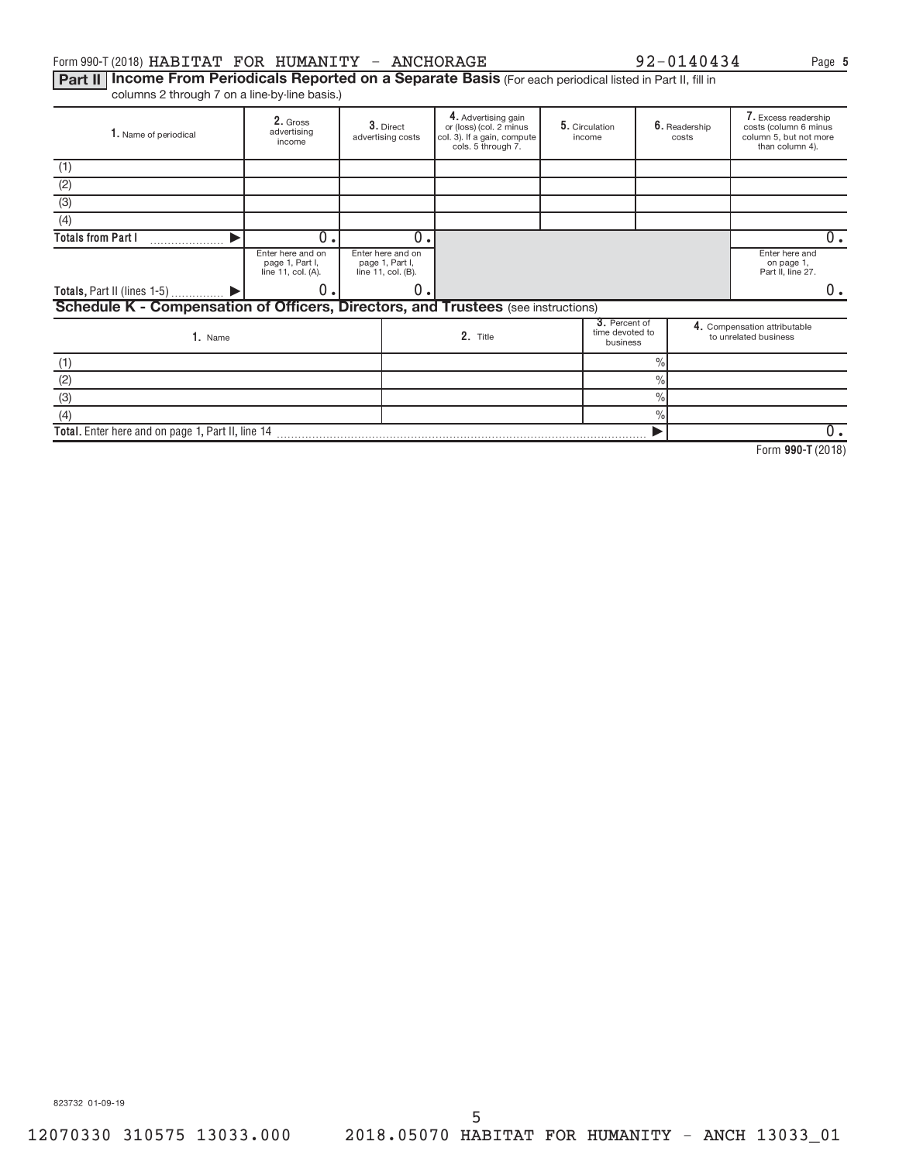## Form 990-T (2018)  ${\tt HABITAT}$   ${\tt FOR}$   ${\tt HUMANTTY}$  -  ${\tt ANCHORAGE}$  92-0140434 Page

Part II | Income From Periodicals Reported on a Separate Basis (For each periodical listed in Part II, fill in columns 2 through 7 on a line-by-line basis.)

| 1. Name of periodical                                                             | 2. Gross<br>advertising<br>income |  | 3. Direct<br>advertising costs                             | 4. Advertising gain<br>or (loss) (col. 2 minus<br>col. 3). If a gain, compute<br>cols. 5 through 7. | 5. Circulation<br>income                     |               | 6. Readership<br>costs | 7. Excess readership<br>costs (column 6 minus<br>column 5, but not more<br>than column 4). |
|-----------------------------------------------------------------------------------|-----------------------------------|--|------------------------------------------------------------|-----------------------------------------------------------------------------------------------------|----------------------------------------------|---------------|------------------------|--------------------------------------------------------------------------------------------|
| (1)                                                                               |                                   |  |                                                            |                                                                                                     |                                              |               |                        |                                                                                            |
| (2)                                                                               |                                   |  |                                                            |                                                                                                     |                                              |               |                        |                                                                                            |
| (3)                                                                               |                                   |  |                                                            |                                                                                                     |                                              |               |                        |                                                                                            |
| (4)                                                                               |                                   |  |                                                            |                                                                                                     |                                              |               |                        |                                                                                            |
| <b>Totals from Part I</b>                                                         | $\overline{0}$ .                  |  | $\overline{0}$ .                                           |                                                                                                     |                                              |               |                        | $0 \cdot$                                                                                  |
| Enter here and on<br>page 1, Part I,<br>line 11, col. (A).                        |                                   |  | Enter here and on<br>page 1, Part I,<br>line 11, col. (B). |                                                                                                     |                                              |               |                        | Enter here and<br>on page 1,<br>Part II, line 27.                                          |
| Totals, Part II (lines $1-5$ ) $\qquad \qquad$                                    | 0.                                |  | 0                                                          |                                                                                                     |                                              |               |                        | 0.                                                                                         |
| Schedule K - Compensation of Officers, Directors, and Trustees (see instructions) |                                   |  |                                                            |                                                                                                     |                                              |               |                        |                                                                                            |
| 1. Name                                                                           |                                   |  |                                                            | 2. Title                                                                                            | 3. Percent of<br>time devoted to<br>business |               |                        | 4. Compensation attributable<br>to unrelated business                                      |
| (1)                                                                               |                                   |  |                                                            |                                                                                                     |                                              | $\frac{0}{0}$ |                        |                                                                                            |
| (2)                                                                               |                                   |  |                                                            |                                                                                                     |                                              | $\frac{0}{0}$ |                        |                                                                                            |
| (3)                                                                               |                                   |  |                                                            |                                                                                                     |                                              | $\frac{0}{0}$ |                        |                                                                                            |
| (4)                                                                               |                                   |  |                                                            |                                                                                                     |                                              | $\%$          |                        |                                                                                            |
| Total. Enter here and on page 1, Part II, line 14                                 |                                   |  |                                                            |                                                                                                     |                                              |               |                        | $0$ .                                                                                      |

**990-T**  Form (2018)

**5**

823732 01-09-19